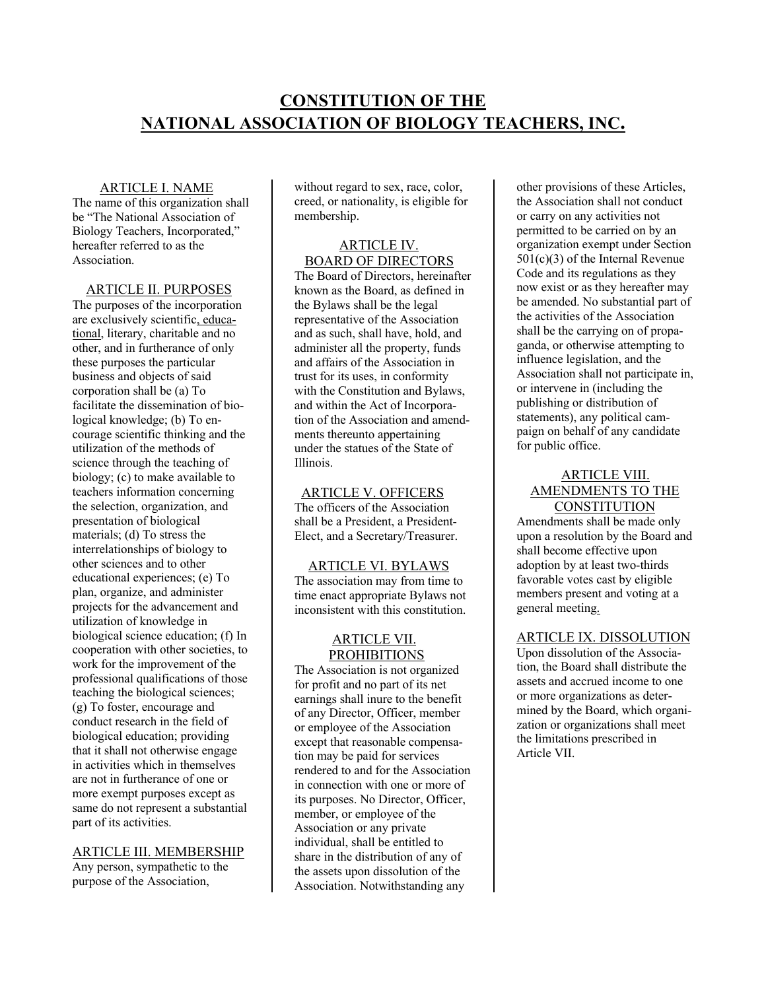# **CONSTITUTION OF THE NATIONAL ASSOCIATION OF BIOLOGY TEACHERS, INC.**

## ARTICLE I. NAME

The name of this organization shall be "The National Association of Biology Teachers, Incorporated," hereafter referred to as the Association.

# ARTICLE II. PURPOSES

The purposes of the incorporation are exclusively scientific, educational, literary, charitable and no other, and in furtherance of only these purposes the particular business and objects of said corporation shall be (a) To facilitate the dissemination of biological knowledge; (b) To encourage scientific thinking and the utilization of the methods of science through the teaching of biology; (c) to make available to teachers information concerning the selection, organization, and presentation of biological materials; (d) To stress the interrelationships of biology to other sciences and to other educational experiences; (e) To plan, organize, and administer projects for the advancement and utilization of knowledge in biological science education; (f) In cooperation with other societies, to work for the improvement of the professional qualifications of those teaching the biological sciences; (g) To foster, encourage and conduct research in the field of biological education; providing that it shall not otherwise engage in activities which in themselves are not in furtherance of one or more exempt purposes except as same do not represent a substantial part of its activities.

#### ARTICLE III. MEMBERSHIP

Any person, sympathetic to the purpose of the Association,

without regard to sex, race, color, creed, or nationality, is eligible for membership.

## ARTICLE IV. BOARD OF DIRECTORS

The Board of Directors, hereinafter known as the Board, as defined in the Bylaws shall be the legal representative of the Association and as such, shall have, hold, and administer all the property, funds and affairs of the Association in trust for its uses, in conformity with the Constitution and Bylaws, and within the Act of Incorporation of the Association and amendments thereunto appertaining under the statues of the State of Illinois.

## ARTICLE V. OFFICERS

The officers of the Association shall be a President, a President-Elect, and a Secretary/Treasurer.

 ARTICLE VI. BYLAWS The association may from time to time enact appropriate Bylaws not inconsistent with this constitution.

# ARTICLE VII. **PROHIBITIONS**

The Association is not organized for profit and no part of its net earnings shall inure to the benefit of any Director, Officer, member or employee of the Association except that reasonable compensation may be paid for services rendered to and for the Association in connection with one or more of its purposes. No Director, Officer, member, or employee of the Association or any private individual, shall be entitled to share in the distribution of any of the assets upon dissolution of the Association. Notwithstanding any

other provisions of these Articles, the Association shall not conduct or carry on any activities not permitted to be carried on by an organization exempt under Section 501(c)(3) of the Internal Revenue Code and its regulations as they now exist or as they hereafter may be amended. No substantial part of the activities of the Association shall be the carrying on of propaganda, or otherwise attempting to influence legislation, and the Association shall not participate in, or intervene in (including the publishing or distribution of statements), any political campaign on behalf of any candidate for public office.

# ARTICLE VIII. AMENDMENTS TO THE **CONSTITUTION**

Amendments shall be made only upon a resolution by the Board and shall become effective upon adoption by at least two-thirds favorable votes cast by eligible members present and voting at a general meeting.

## ARTICLE IX. DISSOLUTION

Upon dissolution of the Association, the Board shall distribute the assets and accrued income to one or more organizations as determined by the Board, which organization or organizations shall meet the limitations prescribed in Article VII.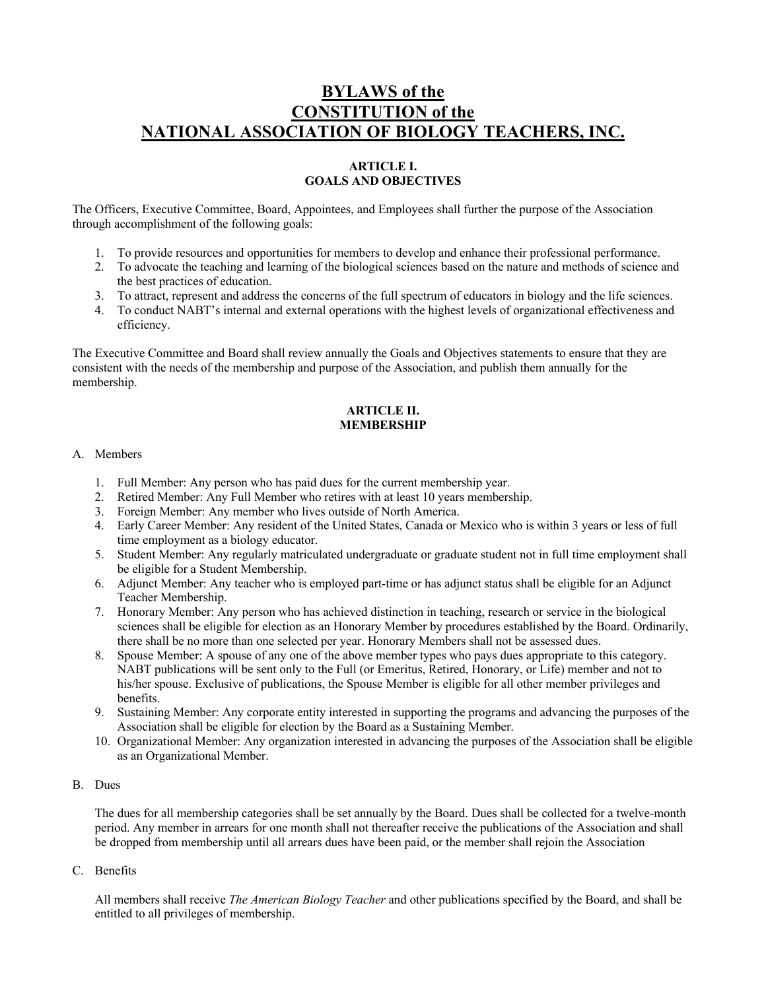# **BYLAWS of the CONSTITUTION of the NATIONAL ASSOCIATION OF BIOLOGY TEACHERS, INC.**

# **ARTICLE I. GOALS AND OBJECTIVES**

The Officers, Executive Committee, Board, Appointees, and Employees shall further the purpose of the Association through accomplishment of the following goals:

- 1. To provide resources and opportunities for members to develop and enhance their professional performance.
- 2. To advocate the teaching and learning of the biological sciences based on the nature and methods of science and the best practices of education.
- 3. To attract, represent and address the concerns of the full spectrum of educators in biology and the life sciences.
- 4. To conduct NABT's internal and external operations with the highest levels of organizational effectiveness and efficiency.

The Executive Committee and Board shall review annually the Goals and Objectives statements to ensure that they are consistent with the needs of the membership and purpose of the Association, and publish them annually for the membership.

## **ARTICLE II. MEMBERSHIP**

## A. Members

- 1. Full Member: Any person who has paid dues for the current membership year.
- 2. Retired Member: Any Full Member who retires with at least 10 years membership.
- 3. Foreign Member: Any member who lives outside of North America.
- 4. Early Career Member: Any resident of the United States, Canada or Mexico who is within 3 years or less of full time employment as a biology educator.
- 5. Student Member: Any regularly matriculated undergraduate or graduate student not in full time employment shall be eligible for a Student Membership.
- 6. Adjunct Member: Any teacher who is employed part-time or has adjunct status shall be eligible for an Adjunct Teacher Membership.
- 7. Honorary Member: Any person who has achieved distinction in teaching, research or service in the biological sciences shall be eligible for election as an Honorary Member by procedures established by the Board. Ordinarily, there shall be no more than one selected per year. Honorary Members shall not be assessed dues.
- 8. Spouse Member: A spouse of any one of the above member types who pays dues appropriate to this category. NABT publications will be sent only to the Full (or Emeritus, Retired, Honorary, or Life) member and not to his/her spouse. Exclusive of publications, the Spouse Member is eligible for all other member privileges and benefits.
- 9. Sustaining Member: Any corporate entity interested in supporting the programs and advancing the purposes of the Association shall be eligible for election by the Board as a Sustaining Member.
- 10. Organizational Member: Any organization interested in advancing the purposes of the Association shall be eligible as an Organizational Member.

## B. Dues

The dues for all membership categories shall be set annually by the Board. Dues shall be collected for a twelve-month period. Any member in arrears for one month shall not thereafter receive the publications of the Association and shall be dropped from membership until all arrears dues have been paid, or the member shall rejoin the Association

C. Benefits

All members shall receive *The American Biology Teacher* and other publications specified by the Board, and shall be entitled to all privileges of membership.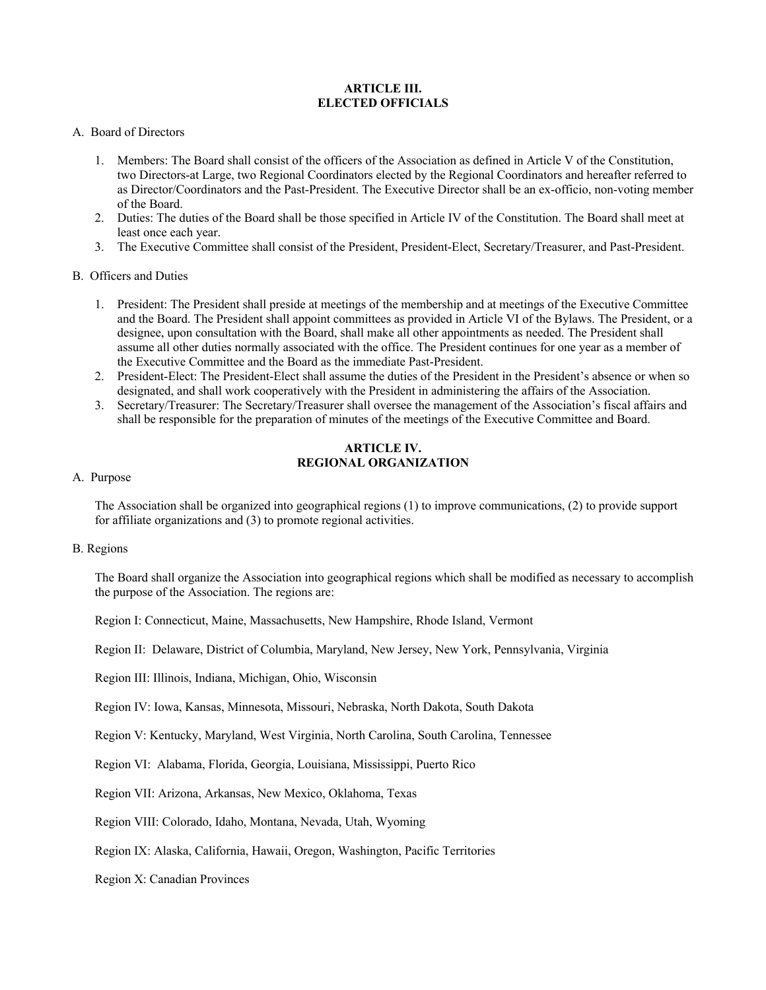## **ARTICLE III. ELECTED OFFICIALS**

## A. Board of Directors

- 1. Members: The Board shall consist of the officers of the Association as defined in Article V of the Constitution, two Directors-at Large, two Regional Coordinators elected by the Regional Coordinators and hereafter referred to as Director/Coordinators and the Past-President. The Executive Director shall be an ex-officio, non-voting member of the Board.
- 2. Duties: The duties of the Board shall be those specified in Article IV of the Constitution. The Board shall meet at least once each year.
- 3. The Executive Committee shall consist of the President, President-Elect, Secretary/Treasurer, and Past-President.

## B. Officers and Duties

- 1. President: The President shall preside at meetings of the membership and at meetings of the Executive Committee and the Board. The President shall appoint committees as provided in Article VI of the Bylaws. The President, or a designee, upon consultation with the Board, shall make all other appointments as needed. The President shall assume all other duties normally associated with the office. The President continues for one year as a member of the Executive Committee and the Board as the immediate Past-President.
- 2. President-Elect: The President-Elect shall assume the duties of the President in the President's absence or when so designated, and shall work cooperatively with the President in administering the affairs of the Association.
- 3. Secretary/Treasurer: The Secretary/Treasurer shall oversee the management of the Association's fiscal affairs and shall be responsible for the preparation of minutes of the meetings of the Executive Committee and Board.

## **ARTICLE IV. REGIONAL ORGANIZATION**

## A. Purpose

The Association shall be organized into geographical regions (1) to improve communications, (2) to provide support for affiliate organizations and (3) to promote regional activities.

## B. Regions

The Board shall organize the Association into geographical regions which shall be modified as necessary to accomplish the purpose of the Association. The regions are:

Region I: Connecticut, Maine, Massachusetts, New Hampshire, Rhode Island, Vermont

Region II: Delaware, District of Columbia, Maryland, New Jersey, New York, Pennsylvania, Virginia

Region III: Illinois, Indiana, Michigan, Ohio, Wisconsin

Region IV: Iowa, Kansas, Minnesota, Missouri, Nebraska, North Dakota, South Dakota

Region V: Kentucky, Maryland, West Virginia, North Carolina, South Carolina, Tennessee

Region VI: Alabama, Florida, Georgia, Louisiana, Mississippi, Puerto Rico

Region VII: Arizona, Arkansas, New Mexico, Oklahoma, Texas

Region VIII: Colorado, Idaho, Montana, Nevada, Utah, Wyoming

Region IX: Alaska, California, Hawaii, Oregon, Washington, Pacific Territories

Region X: Canadian Provinces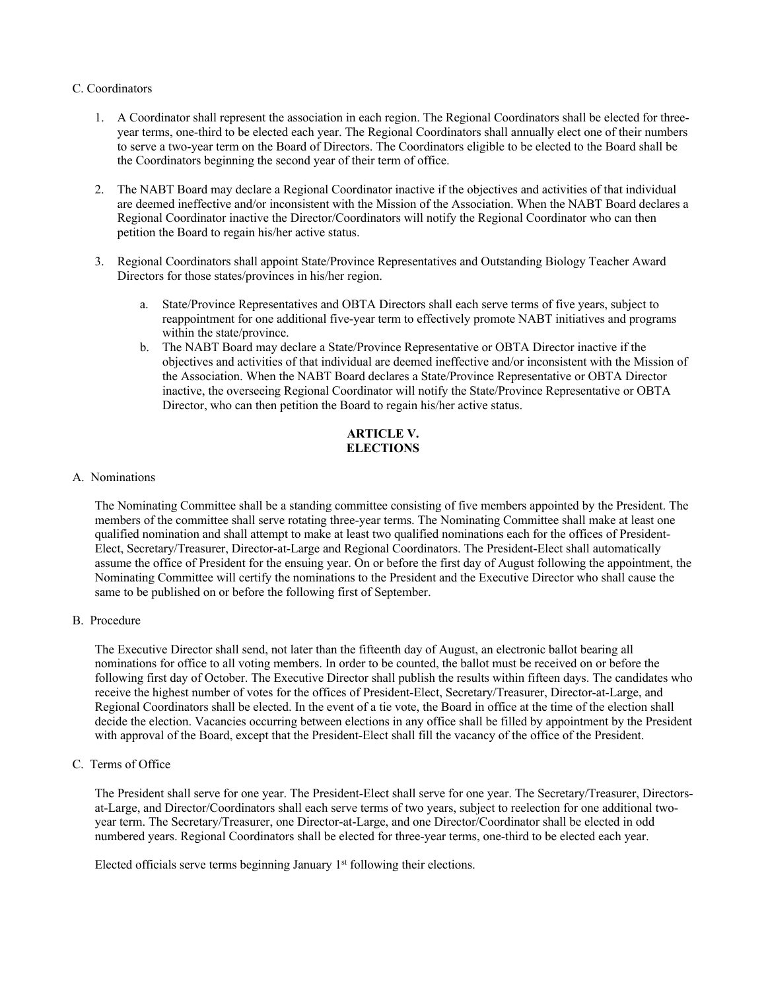#### C. Coordinators

- 1. A Coordinator shall represent the association in each region. The Regional Coordinators shall be elected for threeyear terms, one-third to be elected each year. The Regional Coordinators shall annually elect one of their numbers to serve a two-year term on the Board of Directors. The Coordinators eligible to be elected to the Board shall be the Coordinators beginning the second year of their term of office.
- 2. The NABT Board may declare a Regional Coordinator inactive if the objectives and activities of that individual are deemed ineffective and/or inconsistent with the Mission of the Association. When the NABT Board declares a Regional Coordinator inactive the Director/Coordinators will notify the Regional Coordinator who can then petition the Board to regain his/her active status.
- 3. Regional Coordinators shall appoint State/Province Representatives and Outstanding Biology Teacher Award Directors for those states/provinces in his/her region.
	- a. State/Province Representatives and OBTA Directors shall each serve terms of five years, subject to reappointment for one additional five-year term to effectively promote NABT initiatives and programs within the state/province.
	- b. The NABT Board may declare a State/Province Representative or OBTA Director inactive if the objectives and activities of that individual are deemed ineffective and/or inconsistent with the Mission of the Association. When the NABT Board declares a State/Province Representative or OBTA Director inactive, the overseeing Regional Coordinator will notify the State/Province Representative or OBTA Director, who can then petition the Board to regain his/her active status.

# **ARTICLE V. ELECTIONS**

## A. Nominations

The Nominating Committee shall be a standing committee consisting of five members appointed by the President. The members of the committee shall serve rotating three-year terms. The Nominating Committee shall make at least one qualified nomination and shall attempt to make at least two qualified nominations each for the offices of President-Elect, Secretary/Treasurer, Director-at-Large and Regional Coordinators. The President-Elect shall automatically assume the office of President for the ensuing year. On or before the first day of August following the appointment, the Nominating Committee will certify the nominations to the President and the Executive Director who shall cause the same to be published on or before the following first of September.

B. Procedure

The Executive Director shall send, not later than the fifteenth day of August, an electronic ballot bearing all nominations for office to all voting members. In order to be counted, the ballot must be received on or before the following first day of October. The Executive Director shall publish the results within fifteen days. The candidates who receive the highest number of votes for the offices of President-Elect, Secretary/Treasurer, Director-at-Large, and Regional Coordinators shall be elected. In the event of a tie vote, the Board in office at the time of the election shall decide the election. Vacancies occurring between elections in any office shall be filled by appointment by the President with approval of the Board, except that the President-Elect shall fill the vacancy of the office of the President.

C. Terms of Office

The President shall serve for one year. The President-Elect shall serve for one year. The Secretary/Treasurer, Directorsat-Large, and Director/Coordinators shall each serve terms of two years, subject to reelection for one additional twoyear term. The Secretary/Treasurer, one Director-at-Large, and one Director/Coordinator shall be elected in odd numbered years. Regional Coordinators shall be elected for three-year terms, one-third to be elected each year.

Elected officials serve terms beginning January 1<sup>st</sup> following their elections.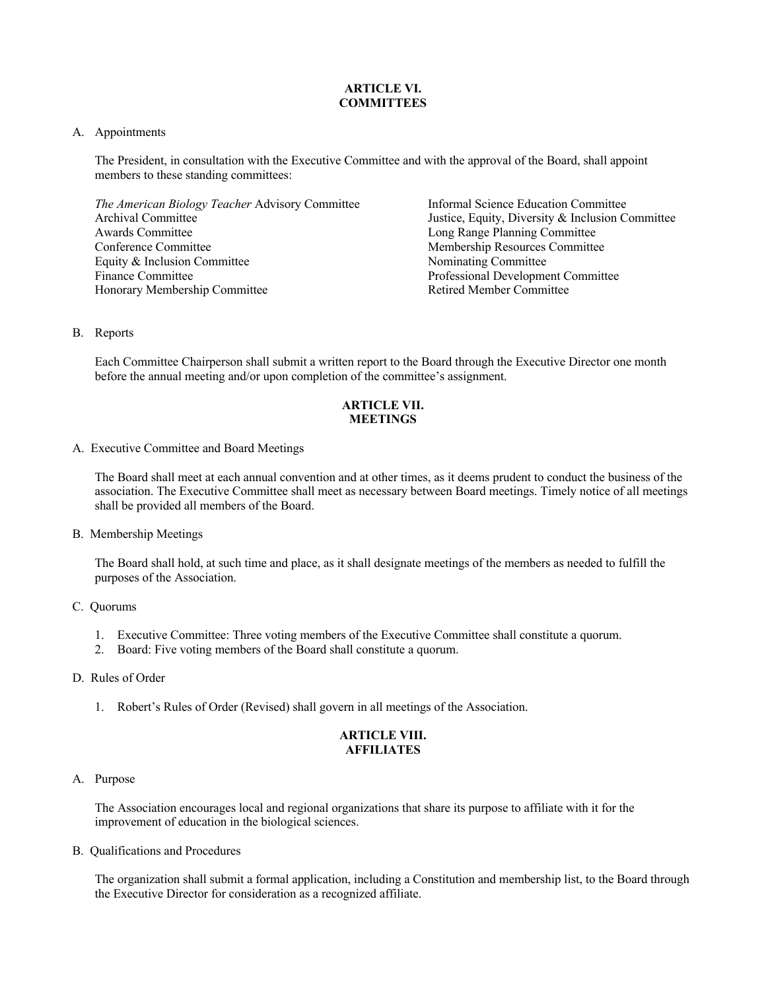# **ARTICLE VI. COMMITTEES**

## A. Appointments

The President, in consultation with the Executive Committee and with the approval of the Board, shall appoint members to these standing committees:

| The American Biology Teacher Advisory Committee |
|-------------------------------------------------|
| <b>Archival Committee</b>                       |
| Awards Committee                                |
| Conference Committee                            |
| Equity & Inclusion Committee                    |
| Finance Committee                               |
| Honorary Membership Committee                   |

Informal Science Education Committee Justice, Equity, Diversity & Inclusion Committee Long Range Planning Committee Membership Resources Committee Nominating Committee Professional Development Committee Retired Member Committee

## B. Reports

Each Committee Chairperson shall submit a written report to the Board through the Executive Director one month before the annual meeting and/or upon completion of the committee's assignment.

## **ARTICLE VII. MEETINGS**

A. Executive Committee and Board Meetings

The Board shall meet at each annual convention and at other times, as it deems prudent to conduct the business of the association. The Executive Committee shall meet as necessary between Board meetings. Timely notice of all meetings shall be provided all members of the Board.

## B. Membership Meetings

The Board shall hold, at such time and place, as it shall designate meetings of the members as needed to fulfill the purposes of the Association.

# C. Quorums

- 1. Executive Committee: Three voting members of the Executive Committee shall constitute a quorum.
- 2. Board: Five voting members of the Board shall constitute a quorum.
- D. Rules of Order
	- 1. Robert's Rules of Order (Revised) shall govern in all meetings of the Association.

## **ARTICLE VIII. AFFILIATES**

#### A. Purpose

The Association encourages local and regional organizations that share its purpose to affiliate with it for the improvement of education in the biological sciences.

B. Qualifications and Procedures

The organization shall submit a formal application, including a Constitution and membership list, to the Board through the Executive Director for consideration as a recognized affiliate.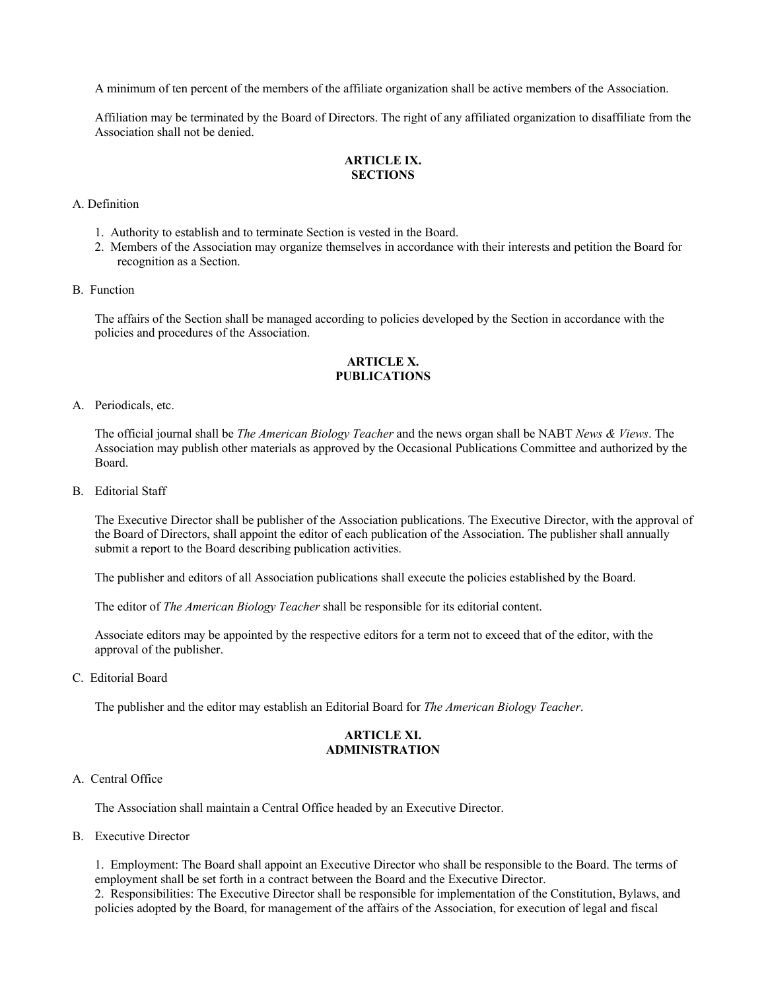A minimum of ten percent of the members of the affiliate organization shall be active members of the Association.

Affiliation may be terminated by the Board of Directors. The right of any affiliated organization to disaffiliate from the Association shall not be denied.

## **ARTICLE IX. SECTIONS**

A. Definition

- 1. Authority to establish and to terminate Section is vested in the Board.
- 2. Members of the Association may organize themselves in accordance with their interests and petition the Board for recognition as a Section.
- B. Function

The affairs of the Section shall be managed according to policies developed by the Section in accordance with the policies and procedures of the Association.

# **ARTICLE X. PUBLICATIONS**

#### A. Periodicals, etc.

The official journal shall be *The American Biology Teacher* and the news organ shall be NABT *News & Views*. The Association may publish other materials as approved by the Occasional Publications Committee and authorized by the Board.

B. Editorial Staff

The Executive Director shall be publisher of the Association publications. The Executive Director, with the approval of the Board of Directors, shall appoint the editor of each publication of the Association. The publisher shall annually submit a report to the Board describing publication activities.

The publisher and editors of all Association publications shall execute the policies established by the Board.

The editor of *The American Biology Teacher* shall be responsible for its editorial content.

Associate editors may be appointed by the respective editors for a term not to exceed that of the editor, with the approval of the publisher.

C. Editorial Board

The publisher and the editor may establish an Editorial Board for *The American Biology Teacher*.

## **ARTICLE XI. ADMINISTRATION**

#### A. Central Office

The Association shall maintain a Central Office headed by an Executive Director.

B. Executive Director

1. Employment: The Board shall appoint an Executive Director who shall be responsible to the Board. The terms of employment shall be set forth in a contract between the Board and the Executive Director.

2. Responsibilities: The Executive Director shall be responsible for implementation of the Constitution, Bylaws, and policies adopted by the Board, for management of the affairs of the Association, for execution of legal and fiscal